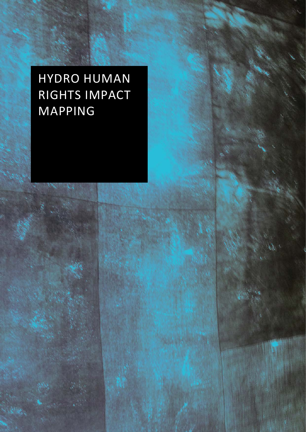# HYDRO HUMAN RIGHTS IMPACT MAPPING

e X.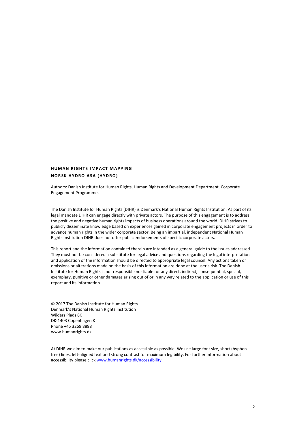#### **HUMAN RIGHTS IMPACT MAPPING NORSK HYDRO ASA (HYDRO)**

Authors: Danish Institute for Human Rights, Human Rights and Development Department, Corporate Engagement Programme.

The Danish Institute for Human Rights (DIHR) is Denmark's National Human Rights Institution. As part of its legal mandate DIHR can engage directly with private actors. The purpose of this engagement is to address the positive and negative human rights impacts of business operations around the world. DIHR strives to publicly disseminate knowledge based on experiences gained in corporate engagement projects in order to advance human rights in the wider corporate sector. Being an impartial, independent National Human Rights Institution DIHR does not offer public endorsements of specific corporate actors.

This report and the information contained therein are intended as a general guide to the issues addressed. They must not be considered a substitute for legal advice and questions regarding the legal interpretation and application of the information should be directed to appropriate legal counsel. Any actions taken or omissions or alterations made on the basis of this information are done at the user's risk. The Danish Institute for Human Rights is not responsible nor liable for any direct, indirect, consequential, special, exemplary, punitive or other damages arising out of or in any way related to the application or use of this report and its information.

© 2017 The Danish Institute for Human Rights Denmark's National Human Rights Institution Wilders Plads 8K DK-1403 Copenhagen K Phone +45 3269 8888 www.humanrights.dk

At DIHR we aim to make our publications as accessible as possible. We use large font size, short (hyphenfree) lines, left-aligned text and strong contrast for maximum legibility. For further information about accessibility please clic[k www.humanrights.dk/accessibility.](http://www.humanrights.dk/accessibility)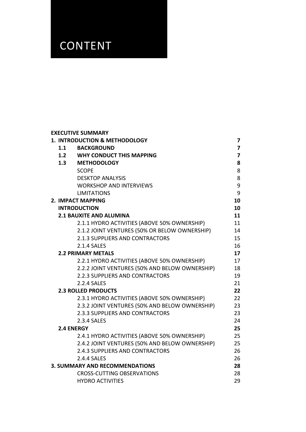## **CONTENT**

|     | <b>EXECUTIVE SUMMARY</b>                       |                         |
|-----|------------------------------------------------|-------------------------|
|     | 1. INTRODUCTION & METHODOLOGY                  | $\overline{7}$          |
| 1.1 | <b>BACKGROUND</b>                              | $\overline{7}$          |
|     | 1.2 WHY CONDUCT THIS MAPPING                   | $\overline{\mathbf{z}}$ |
|     | 1.3 METHODOLOGY                                | 8                       |
|     | <b>SCOPE</b>                                   | 8                       |
|     | <b>DESKTOP ANALYSIS</b>                        | 8                       |
|     | <b>WORKSHOP AND INTERVIEWS</b>                 | 9                       |
|     | <b>LIMITATIONS</b>                             | 9                       |
|     | 2. IMPACT MAPPING                              | 10                      |
|     | <b>INTRODUCTION</b>                            | 10                      |
|     | <b>2.1 BAUXITE AND ALUMINA</b>                 | 11                      |
|     | 2.1.1 HYDRO ACTIVITIES (ABOVE 50% OWNERSHIP)   | 11                      |
|     | 2.1.2 JOINT VENTURES (50% OR BELOW OWNERSHIP)  | 14                      |
|     | 2.1.3 SUPPLIERS AND CONTRACTORS                | 15                      |
|     | 2.1.4 SALES                                    | 16                      |
|     | <b>2.2 PRIMARY METALS</b>                      | 17                      |
|     | 2.2.1 HYDRO ACTIVITIES (ABOVE 50% OWNERSHIP)   | 17                      |
|     | 2.2.2 JOINT VENTURES (50% AND BELOW OWNERSHIP) | 18                      |
|     | 2.2.3 SUPPLIERS AND CONTRACTORS                | 19                      |
|     | 2.2.4 SALES                                    | 21                      |
|     | <b>2.3 ROLLED PRODUCTS</b>                     | 22                      |
|     | 2.3.1 HYDRO ACTIVITIES (ABOVE 50% OWNERSHIP)   | 22                      |
|     | 2.3.2 JOINT VENTURES (50% AND BELOW OWNERSHIP) | 23                      |
|     | 2.3.3 SUPPLIERS AND CONTRACTORS                | 23                      |
|     | 2.3.4 SALES                                    | 24                      |
|     | <b>2.4 ENERGY</b>                              | 25                      |
|     | 2.4.1 HYDRO ACTIVITIES (ABOVE 50% OWNERSHIP)   | 25                      |
|     | 2.4.2 JOINT VENTURES (50% AND BELOW OWNERSHIP) | 25                      |
|     | 2.4.3 SUPPLIERS AND CONTRACTORS                | 26                      |
|     | <b>2.4.4 SALES</b>                             | 26                      |
|     | <b>3. SUMMARY AND RECOMMENDATIONS</b>          | 28                      |
|     | <b>CROSS-CUTTING OBSERVATIONS</b>              | 28                      |
|     | <b>HYDRO ACTIVITIES</b>                        | 29                      |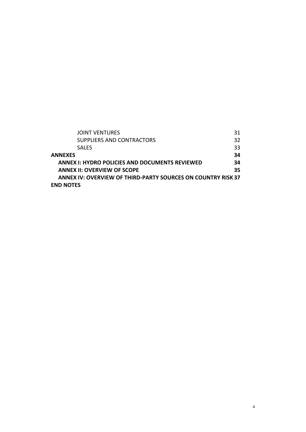| <b>JOINT VENTURES</b>                                        | 31  |  |
|--------------------------------------------------------------|-----|--|
| SUPPLIERS AND CONTRACTORS                                    | 32  |  |
| <b>SALFS</b>                                                 | 33  |  |
| <b>ANNEXES</b>                                               | 34  |  |
| <b>ANNEX I: HYDRO POLICIES AND DOCUMENTS REVIEWED</b>        |     |  |
| <b>ANNEX II: OVERVIEW OF SCOPE</b>                           | 35. |  |
| ANNEX IV: OVERVIEW OF THIRD-PARTY SOURCES ON COUNTRY RISK 37 |     |  |
| <b>END NOTES</b>                                             |     |  |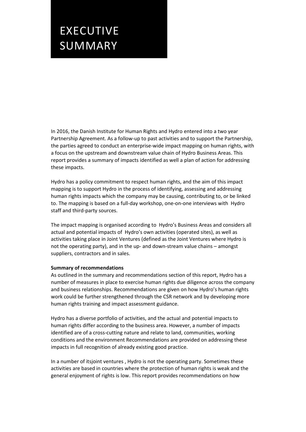## EXECUTIVE SUMMARY

In 2016, the Danish Institute for Human Rights and Hydro entered into a two year Partnership Agreement. As a follow-up to past activities and to support the Partnership, the parties agreed to conduct an enterprise-wide impact mapping on human rights, with a focus on the upstream and downstream value chain of Hydro Business Areas. This report provides a summary of impacts identified as well a plan of action for addressing these impacts.

Hydro has a policy commitment to respect human rights, and the aim of this impact mapping is to support Hydro in the process of identifying, assessing and addressing human rights impacts which the company may be causing, contributing to, or be linked to. The mapping is based on a full-day workshop, one-on-one interviews with Hydro staff and third-party sources.

The impact mapping is organised according to Hydro's Business Areas and considers all actual and potential impacts of Hydro's own activities (operated sites), as well as activities taking place in Joint Ventures (defined as the Joint Ventures where Hydro is not the operating party), and in the up- and down-stream value chains – amongst suppliers, contractors and in sales.

#### **Summary of recommendations**

As outlined in the summary and recommendations section of this report, Hydro has a number of measures in place to exercise human rights due diligence across the company and business relationships. Recommendations are given on how Hydro's human rights work could be further strengthened through the CSR network and by developing more human rights training and impact assessment guidance.

Hydro has a diverse portfolio of activities, and the actual and potential impacts to human rights differ according to the business area. However, a number of impacts identified are of a cross-cutting nature and relate to land, communities, working conditions and the environment Recommendations are provided on addressing these impacts in full recognition of already existing good practice.

In a number of itsjoint ventures , Hydro is not the operating party. Sometimes these activities are based in countries where the protection of human rights is weak and the general enjoyment of rights is low. This report provides recommendations on how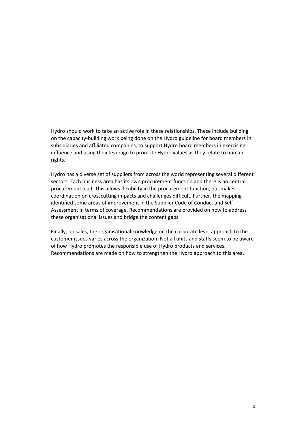Hydro should work to take an active role in these relationships. These include building on the capacity-building work being done on the Hydro guideline for board members in subsidiaries and affiliated companies, to support Hydro board members in exercising influence and using their leverage to promote Hydro values as they relate to human rights.

Hydro has a diverse set of suppliers from across the world representing several different sectors. Each business area has its own procurement function and there is no central procurement lead. This allows flexibility in the procurement function, but makes coordination on crosscutting impacts and challenges difficult. Further, the mapping identified some areas of improvement in the Supplier Code of Conduct and Self-Assessment in terms of coverage. Recommendations are provided on how to address these organisational issues and bridge the content gaps.

Finally, on sales, the organisational knowledge on the corporate level approach to the customer issues varies across the organization. Not all units and staffs seem to be aware of how Hydro promotes the responsible use of Hydro products and services. Recommendations are made on how to strengthen the Hydro approach to this area.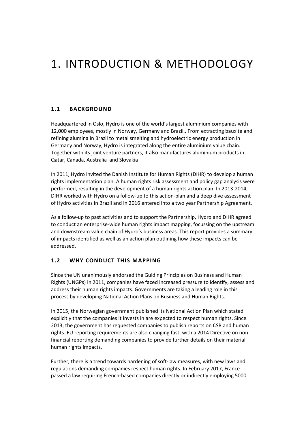## <span id="page-6-0"></span>1. INTRODUCTION & METHODOLOGY

#### <span id="page-6-1"></span>**1.1 BACKGROUND**

Headquartered in Oslo, Hydro is one of the world's largest aluminium companies with 12,000 employees, mostly in Norway, Germany and Brazil.. From extracting bauxite and refining alumina in Brazil to metal smelting and hydroelectric energy production in Germany and Norway, Hydro is integrated along the entire aluminium value chain. Together with its joint venture partners, it also manufactures aluminium products in Qatar, Canada, Australia and Slovakia

In 2011, Hydro invited the Danish Institute for Human Rights (DIHR) to develop a human rights implementation plan. A human rights risk assessment and policy gap analysis were performed, resulting in the development of a human rights action plan. In 2013-2014, DIHR worked with Hydro on a follow-up to this action-plan and a deep dive assessment of Hydro activities in Brazil and in 2016 entered into a two year Partnership Agreement.

As a follow-up to past activities and to support the Partnership, Hydro and DIHR agreed to conduct an enterprise-wide human rights impact mapping, focussing on the upstream and downstream value chain of Hydro's business areas. This report provides a summary of impacts identified as well as an action plan outlining how these impacts can be addressed.

#### <span id="page-6-2"></span>**1.2 WHY CONDUCT THIS MAPPING**

Since the UN unanimously endorsed the Guiding Principles on Business and Human Rights (UNGPs) in 2011, companies have faced increased pressure to identify, assess and address their human rights impacts. Governments are taking a leading role in this process by developing National Action Plans on Business and Human Rights.

In 2015, the Norwegian government published its National Action Plan which stated explicitly that the companies it invests in are expected to respect human rights. Since 2013, the government has requested companies to publish reports on CSR and human rights. EU reporting requirements are also changing fast, with a 2014 Directive on nonfinancial reporting demanding companies to provide further details on their material human rights impacts.

Further, there is a trend towards hardening of soft-law measures, with new laws and regulations demanding companies respect human rights. In February 2017, France passed a law requiring French-based companies directly or indirectly employing 5000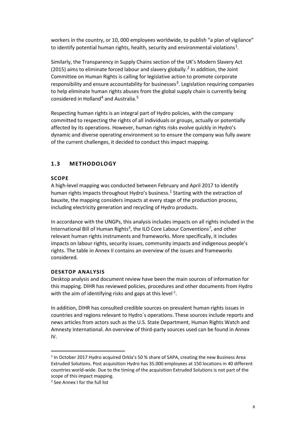workers in the country, or 10, 000 employees worldwide, to publish "a plan of vigilance" to identify potential human rights, health, security and environmental violations<sup>[1](#page-26-0)</sup>.

Similarly, the Transparency in Supply Chains section of the UK's Modern Slavery Act ([2](#page-26-1)015) aims to eliminate forced labour and slavery globally.<sup>2</sup> In addition, the Joint Committee on Human Rights is calling for legislative action to promote corporate responsibility and ensure accountability for businesses<sup>[3](#page-26-2)</sup>. Legislation requiring companies to help eliminate human rights abuses from the global supply chain is currently being considered in Holland<sup>[4](#page-26-3)</sup> and Australia.<sup>[5](#page-26-4)</sup>

Respecting human rights is an integral part of Hydro policies, with the company committed to respecting the rights of all individuals or groups, actually or potentially affected by its operations. However, human rights risks evolve quickly in Hydro's dynamic and diverse operating environment so to ensure the company was fully aware of the current challenges, it decided to conduct this impact mapping.

#### <span id="page-7-1"></span><span id="page-7-0"></span>**1.3 METHODOLOGY**

#### **SCOPE**

A high-level mapping was conducted between February and April 2017 to identify human rights impacts throughout Hydro's business.<sup>[1](#page-7-3)</sup> Starting with the extraction of bauxite, the mapping considers impacts at every stage of the production process, including electricity generation and recycling of Hydro products.

In accordance with the UNGPs, this analysis includes impacts on all rights included in the International Bill of Human Rights<sup>[6](#page-26-5)</sup>, the ILO Core Labour Conventions<sup>[7](#page-26-6)</sup>, and other relevant human rights instruments and frameworks. More specifically, it includes impacts on labour rights, security issues, community impacts and indigenous people's rights. The table in Annex II contains an overview of the issues and frameworks considered.

#### <span id="page-7-2"></span>**DESKTOP ANALYSIS**

Desktop analysis and document review have been the main sources of information for this mapping. DIHR has reviewed policies, procedures and other documents from Hydro with the aim of identifying risks and gaps at this level  $^2$  $^2$ .

In addition, DIHR has consulted credible sources on prevalent human rights issues in countries and regions relevant to Hydro´s operations. These sources include reports and news articles from actors such as the U.S. State Department, Human Rights Watch and Amnesty International. An overview of third-party sources used can be found in Annex IV.

 $\overline{a}$ 

<span id="page-7-3"></span><sup>1</sup> In October 2017 Hydro acquired Orkla's 50 % share of SAPA, creating the new Business Area Extruded Solutions. Post acquisition Hydro has 35.000 employees at 150 locations in 40 different countries world-wide. Due to the timing of the acquisition Extruded Solutions is not part of the scope of this impact mapping.

<span id="page-7-4"></span><sup>2</sup> See Annex I for the full list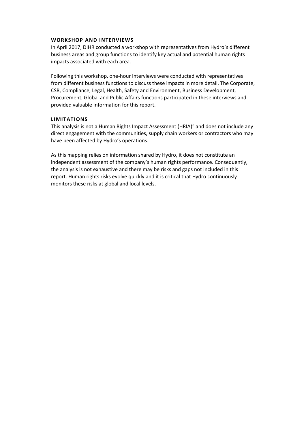#### <span id="page-8-0"></span>**WORKSHOP AND INTERVIEWS**

In April 2017, DIHR conducted a workshop with representatives from Hydro´s different business areas and group functions to identify key actual and potential human rights impacts associated with each area.

Following this workshop, one-hour interviews were conducted with representatives from different business functions to discuss these impacts in more detail. The Corporate, CSR, Compliance, Legal, Health, Safety and Environment, Business Development, Procurement, Global and Public Affairs functions participated in these interviews and provided valuable information for this report.

#### <span id="page-8-1"></span>**LIMITATIONS**

This analysis is not a Human Rights Impact Assessment (HRIA) $8$  and does not include any direct engagement with the communities, supply chain workers or contractors who may have been affected by Hydro's operations.

As this mapping relies on information shared by Hydro, it does not constitute an independent assessment of the company's human rights performance. Consequently, the analysis is not exhaustive and there may be risks and gaps not included in this report. Human rights risks evolve quickly and it is critical that Hydro continuously monitors these risks at global and local levels.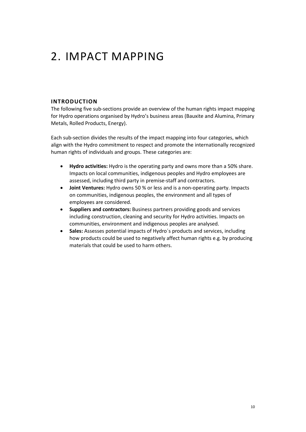## <span id="page-9-0"></span>2. IMPACT MAPPING

#### <span id="page-9-1"></span>**INTRODUCTION**

The following five sub-sections provide an overview of the human rights impact mapping for Hydro operations organised by Hydro's business areas (Bauxite and Alumina, Primary Metals, Rolled Products, Energy).

Each sub-section divides the results of the impact mapping into four categories, which align with the Hydro commitment to respect and promote the internationally recognized human rights of individuals and groups. These categories are:

- **Hydro activities:** Hydro is the operating party and owns more than a 50% share. Impacts on local communities, indigenous peoples and Hydro employees are assessed, including third party in premise-staff and contractors.
- **Joint Ventures:** Hydro owns 50 % or less and is a non-operating party. Impacts on communities, indigenous peoples, the environment and all types of employees are considered.
- **Suppliers and contractors:** Business partners providing goods and services including construction, cleaning and security for Hydro activities. Impacts on communities, environment and indigenous peoples are analysed.
- **Sales:** Assesses potential impacts of Hydro´s products and services, including how products could be used to negatively affect human rights e.g. by producing materials that could be used to harm others.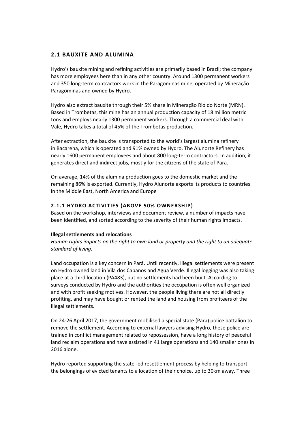#### <span id="page-10-0"></span>**2.1 BAUXITE AND ALUMINA**

Hydro's bauxite mining and refining activities are primarily based in Brazil; the company has more employees here than in any other country. Around 1300 permanent workers and 350 long-term contractors work in the Paragominas mine, operated by Mineração Paragominas and owned by Hydro.

Hydro also extract bauxite through their 5% share in Mineração Rio do Norte (MRN). Based in Trombetas, this mine has an annual production capacity of 18 million metric tons and employs nearly 1300 permanent workers. Through a commercial deal with Vale, Hydro takes a total of 45% of the Trombetas production.

After extraction, the bauxite is transported to the world's largest alumina refinery in Bacarena, which is operated and 91% owned by Hydro. The Alunorte Refinery has nearly 1600 permanent employees and about 800 long-term contractors. In addition, it generates direct and indirect jobs, mostly for the citizens of the state of Para.

On average, 14% of the alumina production goes to the domestic market and the remaining 86% is exported. Currently, Hydro Alunorte exports its products to countries in the Middle East, North America and Europe

#### <span id="page-10-1"></span>**2.1.1 HYDRO ACTIVITIES (ABOVE 50% OWNERSHIP)**

Based on the workshop, interviews and document review, a number of impacts have been identified, and sorted according to the severity of their human rights impacts.

#### **Illegal settlements and relocations**

*Human rights impacts on the right to own land or property and the right to an adequate standard of living.*

Land occupation is a key concern in Pará. Until recently, illegal settlements were present on Hydro owned land in Vila dos Cabanos and Agua Verde. Illegal logging was also taking place at a third location (PA483), but no settlements had been built. According to surveys conducted by Hydro and the authorities the occupation is often well organized and with profit seeking motives. However, the people living there are not all directly profiting, and may have bought or rented the land and housing from profiteers of the illegal settlements.

On 24-26 April 2017, the government mobilised a special state (Para) police battalion to remove the settlement. According to external lawyers advising Hydro, these police are trained in conflict management related to repossession, have a long history of peaceful land reclaim operations and have assisted in 41 large operations and 140 smaller ones in 2016 alone.

Hydro reported supporting the state-led resettlement process by helping to transport the belongings of evicted tenants to a location of their choice, up to 30km away. Three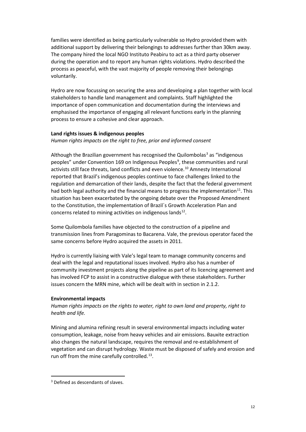families were identified as being particularly vulnerable so Hydro provided them with additional support by delivering their belongings to addresses further than 30km away. The company hired the local NGO Instituto Peabiru to act as a third party observer during the operation and to report any human rights violations. Hydro described the process as peaceful, with the vast majority of people removing their belongings voluntarily.

Hydro are now focussing on securing the area and developing a plan together with local stakeholders to handle land management and complaints. Staff highlighted the importance of open communication and documentation during the interviews and emphasised the importance of engaging all relevant functions early in the planning process to ensure a cohesive and clear approach.

#### **Land rights issues & indigenous peoples**

#### *Human rights impacts on the right to free, prior and informed consent*

Although the Brazilian government has recognised the Quilombolas<sup>[3](#page-11-0)</sup> as "indigenous peoples" under Convention 16[9](#page-26-8) on Indigenous Peoples<sup>9</sup>, these communities and rural activists still face threats, land conflicts and even violence.<sup>[10](#page-26-9)</sup> Amnesty International reported that Brazil's indigenous peoples continue to face challenges linked to the regulation and demarcation of their lands, despite the fact that the federal government had both legal authority and the financial means to progress the implementation<sup>[11](#page-26-10)</sup>. This situation has been exacerbated by the ongoing debate over the Proposed Amendment to the Constitution, the implementation of Brazil´s Growth Acceleration Plan and concerns related to mining activities on indigenous lands $^{12}$  $^{12}$  $^{12}$ .

Some Quilombola families have objected to the construction of a pipeline and transmission lines from Paragominas to Bacarena. Vale, the previous operator faced the same concerns before Hydro acquired the assets in 2011.

Hydro is currently liaising with Vale's legal team to manage community concerns and deal with the legal and reputational issues involved. Hydro also has a number of community investment projects along the pipeline as part of its licencing agreement and has involved FCP to assist in a constructive dialogue with these stakeholders. Further issues concern the MRN mine, which will be dealt with in section in 2.1.2.

#### **Environmental impacts**

*Human rights impacts on the rights to water, right to own land and property, right to health and life.*

Mining and alumina refining result in several environmental impacts including water consumption, leakage, noise from heavy vehicles and air emissions. Bauxite extraction also changes the natural landscape, requires the removal and re-establishment of vegetation and can disrupt hydrology. Waste must be disposed of safely and erosion and run off from the mine carefully controlled.<sup>13</sup>.

 $\overline{a}$ 

<span id="page-11-0"></span><sup>3</sup> Defined as descendants of slaves.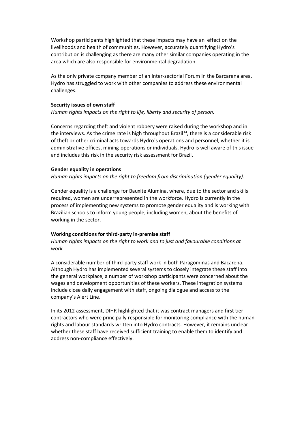Workshop participants highlighted that these impacts may have an effect on the livelihoods and health of communities. However, accurately quantifying Hydro's contribution is challenging as there are many other similar companies operating in the area which are also responsible for environmental degradation.

As the only private company member of an Inter-sectorial Forum in the Barcarena area, Hydro has struggled to work with other companies to address these environmental challenges.

#### **Security issues of own staff**

*Human rights impacts on the right to life, liberty and security of person.*

Concerns regarding theft and violent robbery were raised during the workshop and in the interviews. As the crime rate is high throughout Brazil<sup>[14](#page-26-13)</sup>, there is a considerable risk of theft or other criminal acts towards Hydro´s operations and personnel, whether it is administrative offices, mining-operations or individuals. Hydro is well aware of this issue and includes this risk in the security risk assessment for Brazil.

#### **Gender equality in operations**

*Human rights impacts on the right to freedom from discrimination (gender equality).*

Gender equality is a challenge for Bauxite Alumina, where, due to the sector and skills required, women are underrepresented in the workforce. Hydro is currently in the process of implementing new systems to promote gender equality and is working with Brazilian schools to inform young people, including women, about the benefits of working in the sector.

#### **Working conditions for third-party in-premise staff**

*Human rights impacts on the right to work and to just and favourable conditions at work.*

A considerable number of third-party staff work in both Paragominas and Bacarena. Although Hydro has implemented several systems to closely integrate these staff into the general workplace, a number of workshop participants were concerned about the wages and development opportunities of these workers. These integration systems include close daily engagement with staff, ongoing dialogue and access to the company's Alert Line.

In its 2012 assessment, DIHR highlighted that it was contract managers and first tier contractors who were principally responsible for monitoring compliance with the human rights and labour standards written into Hydro contracts. However, it remains unclear whether these staff have received sufficient training to enable them to identify and address non-compliance effectively.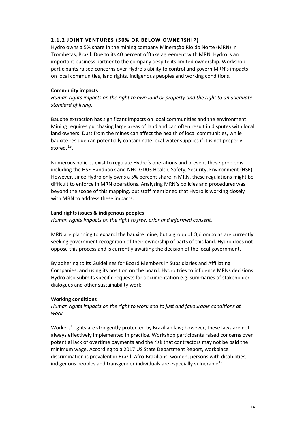#### <span id="page-13-0"></span>**2.1.2 JOINT VENTURES (50% OR BELOW OWNERSHIP)**

Hydro owns a 5% share in the mining company Mineração Rio do Norte (MRN) in Trombetas, Brazil. Due to its 40 percent offtake agreement with MRN, Hydro is an important business partner to the company despite its limited ownership. Workshop participants raised concerns over Hydro's ability to control and govern MRN's impacts on local communities, land rights, indigenous peoples and working conditions.

#### **Community impacts**

*Human rights impacts on the right to own land or property and the right to an adequate standard of living.*

Bauxite extraction has significant impacts on local communities and the environment. Mining requires purchasing large areas of land and can often result in disputes with local land owners. Dust from the mines can affect the health of local communities, while bauxite residue can potentially contaminate local water supplies if it is not properly stored.<sup>15</sup>.

Numerous policies exist to regulate Hydro's operations and prevent these problems including the HSE Handbook and NHC-GD03 Health, Safety, Security, Environment (HSE). However, since Hydro only owns a 5% percent share in MRN, these regulations might be difficult to enforce in MRN operations. Analysing MRN's policies and procedures was beyond the scope of this mapping, but staff mentioned that Hydro is working closely with MRN to address these impacts.

#### **Land rights issues & indigenous peoples**

*Human rights impacts on the right to free, prior and informed consent.*

MRN are planning to expand the bauxite mine, but a group of Quilombolas are currently seeking government recognition of their ownership of parts of this land. Hydro does not oppose this process and is currently awaiting the decision of the local government.

By adhering to its Guidelines for Board Members in Subsidiaries and Affiliating Companies, and using its position on the board, Hydro tries to influence MRNs decisions. Hydro also submits specific requests for documentation e.g. summaries of stakeholder dialogues and other sustainability work.

#### **Working conditions**

*Human rights impacts on the right to work and to just and favourable conditions at work.*

Workers' rights are stringently protected by Brazilian law; however, these laws are not always effectively implemented in practice. Workshop participants raised concerns over potential lack of overtime payments and the risk that contractors may not be paid the minimum wage. According to a 2017 US State Department Report, workplace discrimination is prevalent in Brazil; Afro-Brazilians, women, persons with disabilities, indigenous peoples and transgender individuals are especially vulnerable<sup>16</sup>.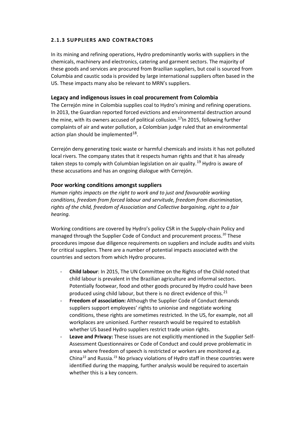#### <span id="page-14-0"></span>**2.1.3 SUPPLIERS AND CONTRACTORS**

In its mining and refining operations, Hydro predominantly works with suppliers in the chemicals, machinery and electronics, catering and garment sectors. The majority of these goods and services are procured from Brazilian suppliers, but coal is sourced from Columbia and caustic soda is provided by large international suppliers often based in the US. These impacts many also be relevant to MRN's suppliers.

#### **Legacy and indigenous issues in coal procurement from Colombia**

The Cerrejón mine in Colombia supplies coal to Hydro's mining and refining operations. In 2013, the Guardian reported forced evictions and environmental destruction around the mine, with its owners accused of political collusion.<sup>[17](#page-26-16)</sup>In 2015, following further complaints of air and water pollution, a Colombian judge ruled that an environmental action plan should be implemented  $18$ .

Cerrejón deny generating toxic waste or harmful chemicals and insists it has not polluted local rivers. The company states that it respects human rights and that it has already taken steps to comply with Columbian legislation on air quality.<sup>[19](#page-26-18)</sup> Hydro is aware of these accusations and has an ongoing dialogue with Cerrejón.

#### **Poor working conditions amongst suppliers**

*Human rights impacts on the right to work and to just and favourable working conditions, freedom from forced labour and servitude, freedom from discrimination, rights of the child, freedom of Association and Collective bargaining, right to a fair hearing.* 

Working conditions are covered by Hydro's policy CSR in the Supply-chain Policy and managed through the Supplier Code of Conduct and procurement process. [20](#page-26-19) These procedures impose due diligence requirements on suppliers and include audits and visits for critical suppliers. There are a number of potential impacts associated with the countries and sectors from which Hydro procures.

- **Child labour**: In 2015, The UN Committee on the Rights of the Child noted that child labour is prevalent in the Brazilian agriculture and informal sectors. Potentially footwear, food and other goods procured by Hydro could have been produced using child labour, but there is no direct evidence of this.<sup>[21](#page-26-20)</sup>
- **Freedom of association:** Although the Supplier Code of Conduct demands suppliers support employees' rights to unionise and negotiate working conditions, these rights are sometimes restricted. In the US, for example, not all workplaces are unionised. Further research would be required to establish whether US based Hydro suppliers restrict trade union rights.
- **Leave and Privacy:** These issues are not explicitly mentioned in the Supplier Self-Assessment Questionnaires or Code of Conduct and could prove problematic in areas where freedom of speech is restricted or workers are monitored e.g. China<sup>[22](#page-26-21)</sup> and Russia.<sup>[23](#page-26-22)</sup> No privacy violations of Hydro staff in these countries were identified during the mapping, further analysis would be required to ascertain whether this is a key concern.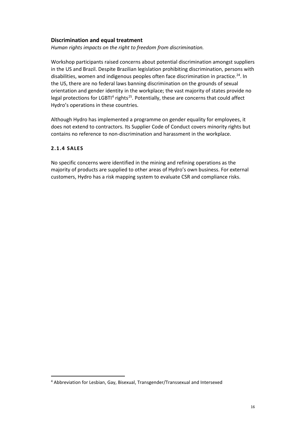#### **Discrimination and equal treatment**

*Human rights impacts on the right to freedom from discrimination.*

Workshop participants raised concerns about potential discrimination amongst suppliers in the US and Brazil. Despite Brazilian legislation prohibiting discrimination, persons with disabilities, women and indigenous peoples often face discrimination in practice.<sup>[24](#page-26-0)</sup>. In the US, there are no federal laws banning discrimination on the grounds of sexual orientation and gender identity in the workplace; the vast majority of states provide no legal protections for LGBTI<sup>[4](#page-15-1)</sup> rights<sup>25</sup>. Potentially, these are concerns that could affect Hydro's operations in these countries.

Although Hydro has implemented a programme on gender equality for employees, it does not extend to contractors. Its Supplier Code of Conduct covers minority rights but contains no reference to non-discrimination and harassment in the workplace.

#### <span id="page-15-0"></span>**2.1.4 SALES**

 $\overline{a}$ 

No specific concerns were identified in the mining and refining operations as the majority of products are supplied to other areas of Hydro's own business. For external customers, Hydro has a risk mapping system to evaluate CSR and compliance risks.

<span id="page-15-1"></span><sup>4</sup> Abbreviation for Lesbian, Gay, Bisexual, Transgender/Transsexual and Intersexed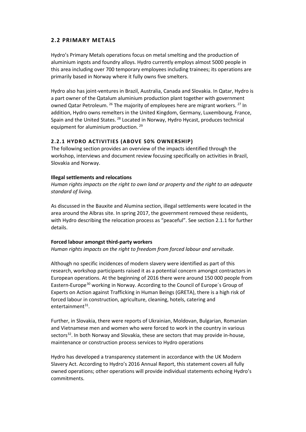#### <span id="page-16-0"></span>**2.2 PRIMARY METALS**

Hydro's Primary Metals operations focus on metal smelting and the production of aluminium ingots and foundry alloys. Hydro currently employs almost 5000 people in this area including over 700 temporary employees including trainees; its operations are primarily based in Norway where it fully owns five smelters.

Hydro also has joint-ventures in Brazil, Australia, Canada and Slovakia. In Qatar, Hydro is a part owner of the Qatalum aluminium production plant together with government owned Qatar Petroleum. <sup>[26](#page-26-2)</sup> The majority of employees here are migrant workers. <sup>[27](#page-26-23)</sup> In addition, Hydro owns remelters in the United Kingdom, Germany, Luxembourg, France, Spain and the United States. [28](#page-26-24) Located in Norway, Hydro Hycast, produces technical equipment for aluminium production.<sup>[29](#page-26-4)</sup>

#### <span id="page-16-1"></span>**2.2.1 HYDRO ACTIVITIES (ABOVE 50% OWNERSHIP)**

The following section provides an overview of the impacts identified through the workshop, interviews and document review focusing specifically on activities in Brazil, Slovakia and Norway.

#### **Illegal settlements and relocations**

*Human rights impacts on the right to own land or property and the right to an adequate standard of living.*

As discussed in the Bauxite and Alumina section, illegal settlements were located in the area around the Albras site. In spring 2017, the government removed these residents, with Hydro describing the relocation process as "peaceful". See section 2.1.1 for further details.

#### **Forced labour amongst third-party workers**

*Human rights impacts on the right to freedom from forced labour and servitude.* 

Although no specific incidences of modern slavery were identified as part of this research, workshop participants raised it as a potential concern amongst contractors in European operations. At the beginning of 2016 there were around 150 000 people from Eastern-Europe<sup>[30](#page-26-25)</sup> working in Norway. According to the Council of Europe's Group of Experts on Action against Trafficking in Human Beings (GRETA), there is a high risk of forced labour in construction, agriculture, cleaning, hotels, catering and entertainment $31$ .

Further, in Slovakia, there were reports of Ukrainian, Moldovan, Bulgarian, Romanian and Vietnamese men and women who were forced to work in the country in various sectors<sup>32</sup>. In both Norway and Slovakia, these are sectors that may provide in-house, maintenance or construction process services to Hydro operations

Hydro has developed a transparency statement in accordance with the UK Modern Slavery Act. According to Hydro's 2016 Annual Report, this statement covers all fully owned operations; other operations will provide individual statements echoing Hydro's commitments.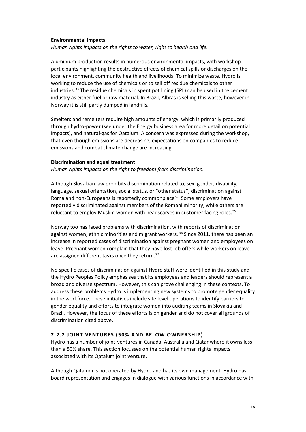#### **Environmental impacts**

*Human rights impacts on the rights to water, right to health and life.*

Aluminium production results in numerous environmental impacts, with workshop participants highlighting the destructive effects of chemical spills or discharges on the local environment, community health and livelihoods. To minimize waste, Hydro is working to reduce the use of chemicals or to sell off residue chemicals to other industries.<sup>[33](#page-26-27)</sup> The residue chemicals in spent pot lining (SPL) can be used in the cement industry as either fuel or raw material. In Brazil, Albras is selling this waste, however in Norway it is still partly dumped in landfills.

Smelters and remelters require high amounts of energy, which is primarily produced through hydro-power (see under the Energy business area for more detail on potential impacts), and natural-gas for Qatalum. A concern was expressed during the workshop, that even though emissions are decreasing, expectations on companies to reduce emissions and combat climate change are increasing.

#### **Discrimination and equal treatment**

*Human rights impacts on the right to freedom from discrimination.*

Although Slovakian law prohibits discrimination related to, sex, gender, disability, language, sexual orientation, social status, or "other status", discrimination against Roma and non-Europeans is reportedly commonplace<sup>[34](#page-26-28)</sup>. Some employers have reportedly discriminated against members of the Romani minority, while others are reluctant to employ Muslim women with headscarves in customer facing roles.<sup>[35](#page-26-9)</sup>

Norway too has faced problems with discrimination, with reports of discrimination against women, ethnic minorities and migrant workers. <sup>[36](#page-26-11)</sup> Since 2011, there has been an increase in reported cases of discrimination against pregnant women and employees on leave. Pregnant women complain that they have lost job offers while workers on leave are assigned different tasks once they return.<sup>[37](#page-26-12)</sup>

No specific cases of discrimination against Hydro staff were identified in this study and the Hydro Peoples Policy emphasises that its employees and leaders should represent a broad and diverse spectrum. However, this can prove challenging in these contexts. To address these problems Hydro is implementing new systems to promote gender equality in the workforce. These initiatives include site level operations to identify barriers to gender equality and efforts to integrate women into auditing teams in Slovakia and Brazil. However, the focus of these efforts is on gender and do not cover all grounds of discrimination cited above.

#### <span id="page-17-0"></span>**2.2.2 JOINT VENTURES (50% AND BELOW OWNERSHIP)**

Hydro has a number of joint-ventures in Canada, Australia and Qatar where it owns less than a 50% share. This section focusses on the potential human rights impacts associated with its Qatalum joint venture.

Although Qatalum is not operated by Hydro and has its own management, Hydro has board representation and engages in dialogue with various functions in accordance with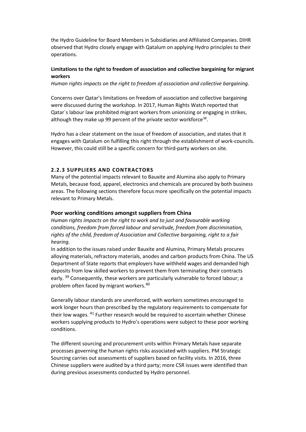the Hydro Guideline for Board Members in Subsidiaries and Affiliated Companies. DIHR observed that Hydro closely engage with Qatalum on applying Hydro principles to their operations.

#### **Limitations to the right to freedom of association and collective bargaining for migrant workers**

*Human rights impacts on the right to freedom of association and collective bargaining.*

Concerns over Qatar's limitations on freedom of association and collective bargaining were discussed during the workshop. In 2017, Human Rights Watch reported that Qatar´s labour law prohibited migrant workers from unionizing or engaging in strikes, although they make up 99 percent of the private sector workforce<sup>[38](#page-26-13)</sup>.

Hydro has a clear statement on the issue of freedom of association, and states that it engages with Qatalum on fulfilling this right through the establishment of work-councils. However, this could still be a specific concern for third-party workers on site.

#### <span id="page-18-0"></span>**2.2.3 SUPPLIERS AND CONTRACTORS**

Many of the potential impacts relevant to Bauxite and Alumina also apply to Primary Metals, because food, apparel, electronics and chemicals are procured by both business areas. The following sections therefore focus more specifically on the potential impacts relevant to Primary Metals.

#### **Poor working conditions amongst suppliers from China**

*Human rights impacts on the right to work and to just and favourable working conditions, freedom from forced labour and servitude, freedom from discrimination, rights of the child, freedom of Association and Collective bargaining, right to a fair hearing.* 

In addition to the issues raised under Bauxite and Alumina, Primary Metals procures alloying materials, refractory materials, anodes and carbon products from China. The US Department of State reports that employers have withheld wages and demanded high deposits from low skilled workers to prevent them from terminating their contracts early. <sup>[39](#page-26-14)</sup> Consequently, these workers are particularly vulnerable to forced labour; a problem often faced by migrant workers.[40](#page-26-29)

Generally labour standards are unenforced, with workers sometimes encouraged to work longer hours than prescribed by the regulatory requirements to compensate for their low wages. <sup>[41](#page-26-16)</sup> Further research would be required to ascertain whether Chinese workers supplying products to Hydro's operations were subject to these poor working conditions.

The different sourcing and procurement units within Primary Metals have separate processes governing the human rights risks associated with suppliers. PM Strategic Sourcing carries out assessments of suppliers based on facility visits. In 2016, three Chinese suppliers were audited by a third party; more CSR issues were identified than during previous assessments conducted by Hydro personnel.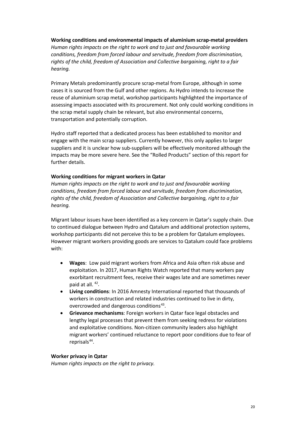#### **Working conditions and environmental impacts of aluminium scrap-metal providers**

*Human rights impacts on the right to work and to just and favourable working conditions, freedom from forced labour and servitude, freedom from discrimination, rights of the child, freedom of Association and Collective bargaining, right to a fair hearing.* 

Primary Metals predominantly procure scrap-metal from Europe, although in some cases it is sourced from the Gulf and other regions. As Hydro intends to increase the reuse of aluminium scrap metal, workshop participants highlighted the importance of assessing impacts associated with its procurement. Not only could working conditions in the scrap metal supply chain be relevant, but also environmental concerns, transportation and potentially corruption.

Hydro staff reported that a dedicated process has been established to monitor and engage with the main scrap suppliers. Currently however, this only applies to larger suppliers and it is unclear how sub-suppliers will be effectively monitored although the impacts may be more severe here. See the "Rolled Products" section of this report for further details.

#### **Working conditions for migrant workers in Qatar**

*Human rights impacts on the right to work and to just and favourable working conditions, freedom from forced labour and servitude, freedom from discrimination, rights of the child, freedom of Association and Collective bargaining, right to a fair hearing.* 

Migrant labour issues have been identified as a key concern in Qatar's supply chain. Due to continued dialogue between Hydro and Qatalum and additional protection systems, workshop participants did not perceive this to be a problem for Qatalum employees. However migrant workers providing goods are services to Qatalum could face problems with:

- **Wages**: Low paid migrant workers from Africa and Asia often risk abuse and exploitation. In 2017, Human Rights Watch reported that many workers pay exorbitant recruitment fees, receive their wages late and are sometimes never paid at all. [42.](#page-26-30)
- **Living conditions**: In 2016 Amnesty International reported that thousands of workers in construction and related industries continued to live in dirty, overcrowded and dangerous conditions<sup>[43](#page-26-18)</sup>.
- **Grievance mechanisms**: Foreign workers in Qatar face legal obstacles and lengthy legal processes that prevent them from seeking redress for violations and exploitative conditions. Non-citizen community leaders also highlight migrant workers' continued reluctance to report poor conditions due to fear of reprisals<sup>44</sup>.

#### **Worker privacy in Qatar**

*Human rights impacts on the right to privacy.*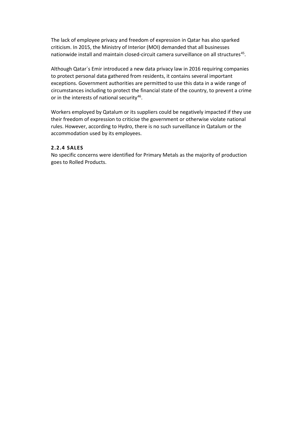The lack of employee privacy and freedom of expression in Qatar has also sparked criticism. In 2015, the Ministry of Interior (MOI) demanded that all businesses nationwide install and maintain closed-circuit camera surveillance on all structures<sup>45</sup>.

Although Qatar´s Emir introduced a new data privacy law in 2016 requiring companies to protect personal data gathered from residents, it contains several important exceptions. Government authorities are permitted to use this data in a wide range of circumstances including to protect the financial state of the country, to prevent a crime or in the interests of national security<sup>46</sup>.

Workers employed by Qatalum or its suppliers could be negatively impacted if they use their freedom of expression to criticise the government or otherwise violate national rules. However, according to Hydro, there is no such surveillance in Qatalum or the accommodation used by its employees.

#### <span id="page-20-0"></span>**2.2.4 SALES**

No specific concerns were identified for Primary Metals as the majority of production goes to Rolled Products.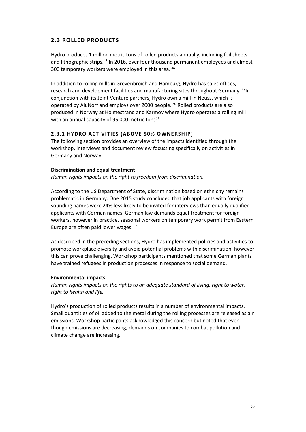#### <span id="page-21-0"></span>**2.3 ROLLED PRODUCTS**

Hydro produces 1 million metric tons of rolled products annually, including foil sheets and lithographic strips.<sup>[47](#page-26-34)</sup> In 2016, over four thousand permanent employees and almost 300 temporary workers were employed in this area. <sup>[48](#page-26-35)</sup>

In addition to rolling mills in Grevenbroich and Hamburg, Hydro has sales offices, research and development facilities and manufacturing sites throughout Germany. [49I](#page-26-36)n conjunction with its Joint Venture partners, Hydro own a mill in Neuss, which is operated by AluNorf and employs over 2000 people. [50](#page-26-37) Rolled products are also produced in Norway at Holmestrand and Karmov where Hydro operates a rolling mill with an annual capacity of 95 000 metric tons $51$ .

#### <span id="page-21-1"></span>**2.3.1 HYDRO ACTIVITIES (ABOVE 50% OWNERSHIP)**

The following section provides an overview of the impacts identified through the workshop, interviews and document review focussing specifically on activities in Germany and Norway.

#### **Discrimination and equal treatment**

*Human rights impacts on the right to freedom from discrimination.*

According to the US Department of State, discrimination based on ethnicity remains problematic in Germany. One 2015 study concluded that job applicants with foreign sounding names were 24% less likely to be invited for interviews than equally qualified applicants with German names. German law demands equal treatment for foreign workers, however in practice, seasonal workers on temporary work permit from Eastern Europe are often paid lower wages. [52](#page-26-38).

As described in the preceding sections, Hydro has implemented policies and activities to promote workplace diversity and avoid potential problems with discrimination, however this can prove challenging. Workshop participants mentioned that some German plants have trained refugees in production processes in response to social demand.

#### **Environmental impacts**

*Human rights impacts on the rights to an adequate standard of living, right to water, right to health and life.*

Hydro's production of rolled products results in a number of environmental impacts. Small quantities of oil added to the metal during the rolling processes are released as air emissions. Workshop participants acknowledged this concern but noted that even though emissions are decreasing, demands on companies to combat pollution and climate change are increasing.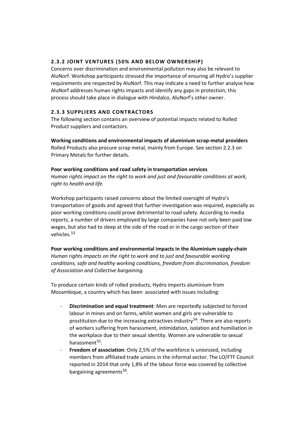#### <span id="page-22-0"></span>**2.3.2 JOINT VENTURES (50% AND BELOW OWNERSHIP)**

Concerns over discrimination and environmental pollution may also be relevant to AluNorf. Workshop participants stressed the importance of ensuring all Hydro's supplier requirements are respected by AluNorf. This may indicate a need to further analyse how AluNorf addresses human rights impacts and identify any gaps in protection; this process should take place in dialogue with Hindalco, AluNorf's other owner.

#### <span id="page-22-1"></span>**2.3.3 SUPPLIERS AND CONTRACTORS**

The following section contains an overview of potential impacts related to Rolled Product suppliers and contactors.

**Working conditions and environmental impacts of aluminium scrap-metal providers** Rolled Products also procure scrap metal, mainly from Europe. See section 2.2.3 on Primary Metals for further details.

#### **Poor working conditions and road safety in transportation services**

*Human rights impact on the right to work and just and favourable conditions at work, right to health and life.* 

Workshop participants raised concerns about the limited oversight of Hydro's transportation of goods and agreed that further investigation was required, especially as poor working conditions could prove detrimental to road safety. According to media reports, a number of drivers employed by large companies have not only been paid low wages, but also had to sleep at the side of the road or in the cargo section of their vehicles.<sup>[53](#page-26-39)</sup>

#### **Poor working conditions and environmental impacts in the Aluminium supply-chain**

*Human rights impacts on the right to work and to just and favourable working conditions, safe and healthy working conditions, freedom from discrimination, freedom of Association and Collective bargaining.*

To produce certain kinds of rolled products, Hydro imports aluminium from Mozambique, a country which has been associated with issues including:

- **Discrimination and equal treatment**: Men are reportedly subjected to forced labour in mines and on farms, whilst women and girls are vulnerable to prostitution due to the increasing extractives industry<sup>[54](#page-26-3)</sup>. There are also reports of workers suffering from harassment, intimidation, isolation and humiliation in the workplace due to their sexual identity. Women are vulnerable to sexual harassment<sup>[55](#page-26-4)</sup>.
- **Freedom of association**: Only 2,5% of the workforce is unionized, including members from affiliated trade unions in the informal sector. The LO/FTF Council reported in 2014 that only 1,8% of the labour force was covered by collective bargaining agreements<sup>56</sup>.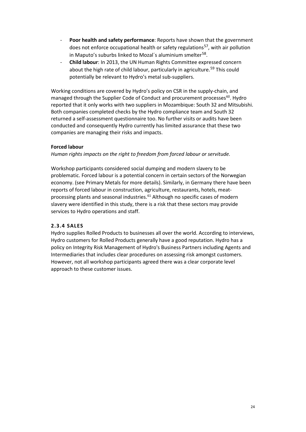- **Poor health and safety performance:** Reports have shown that the government does not enforce occupational health or safety regulations<sup>[57](#page-26-26)</sup>, with air pollution in Maputo's suburbs linked to Mozal's aluminium smelter<sup>[58](#page-26-27)</sup>.
- **Child labour**: In 2013, the UN Human Rights Committee expressed concern about the high rate of child labour, particularly in agriculture.<sup>[59](#page-26-28)</sup> This could potentially be relevant to Hydro's metal sub-suppliers.

Working conditions are covered by Hydro's policy on CSR in the supply-chain, and managed through the Supplier Code of Conduct and procurement processes<sup>[60](#page-26-9)</sup>. Hydro reported that it only works with two suppliers in Mozambique: South 32 and Mitsubishi. Both companies completed checks by the Hydro compliance team and South 32 returned a self-assessment questionnaire too. No further visits or audits have been conducted and consequently Hydro currently has limited assurance that these two companies are managing their risks and impacts.

#### **Forced labour**

*Human rights impacts on the right to freedom from forced labour or servitude.* 

Workshop participants considered social dumping and modern slavery to be problematic. Forced labour is a potential concern in certain sectors of the Norwegian economy. (see Primary Metals for more details). Similarly, in Germany there have been reports of forced labour in construction, agriculture, restaurants, hotels, meat-processing plants and seasonal industries.<sup>[61](#page-26-40)</sup> Although no specific cases of modern slavery were identified in this study, there is a risk that these sectors may provide services to Hydro operations and staff.

#### <span id="page-23-0"></span>**2.3.4 SALES**

Hydro supplies Rolled Products to businesses all over the world. According to interviews, Hydro customers for Rolled Products generally have a good reputation. Hydro has a policy on Integrity Risk Management of Hydro's Business Partners including Agents and Intermediaries that includes clear procedures on assessing risk amongst customers. However, not all workshop participants agreed there was a clear corporate level approach to these customer issues.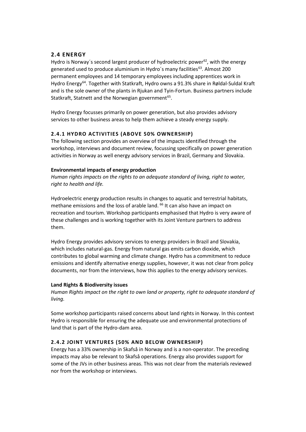#### <span id="page-24-0"></span>**2.4 ENERGY**

Hydro is Norway's second largest producer of hydroelectric power<sup>62</sup>, with the energy generated used to produce aluminium in Hydro's many facilities<sup>63</sup>. Almost 200 permanent employees and 14 temporary employees including apprentices work in Hydro Energy[64](#page-26-14). Together with Statkraft, Hydro owns a 91.3% share in Røldal-Suldal Kraft and is the sole owner of the plants in Rjukan and Tyin-Fortun. Business partners include Statkraft, Statnett and the Norwegian government<sup>65</sup>.

Hydro Energy focusses primarily on power generation, but also provides advisory services to other business areas to help them achieve a steady energy supply.

#### <span id="page-24-1"></span>**2.4.1 HYDRO ACTIVITIES (ABOVE 50% OWNERSHIP)**

The following section provides an overview of the impacts identified through the workshop, interviews and document review, focussing specifically on power generation activities in Norway as well energy advisory services in Brazil, Germany and Slovakia.

#### **Environmental impacts of energy production**

*Human rights impacts on the rights to an adequate standard of living, right to water, right to health and life.*

Hydroelectric energy production results in changes to aquatic and terrestrial habitats, methane emissions and the loss of arable land. <sup>[66](#page-26-42)</sup> It can also have an impact on recreation and tourism. Workshop participants emphasised that Hydro is very aware of these challenges and is working together with its Joint Venture partners to address them.

Hydro Energy provides advisory services to energy providers in Brazil and Slovakia, which includes natural-gas. Energy from natural gas emits carbon dioxide, which contributes to global warming and climate change. Hydro has a commitment to reduce emissions and identify alternative energy supplies, however, it was not clear from policy documents, nor from the interviews, how this applies to the energy advisory services.

#### **Land Rights & Biodiversity issues**

*Human Rights impact on the right to own land or property, right to adequate standard of living.* 

Some workshop participants raised concerns about land rights in Norway. In this context Hydro is responsible for ensuring the adequate use and environmental protections of land that is part of the Hydro-dam area.

#### <span id="page-24-2"></span>**2.4.2 JOINT VENTURES (50% AND BELOW OWNERSHIP)**

Energy has a 33% ownership in Skafså in Norway and is a non-operator. The preceding impacts may also be relevant to Skafså operations. Energy also provides support for some of the JVs in other business areas. This was not clear from the materials reviewed nor from the workshop or interviews.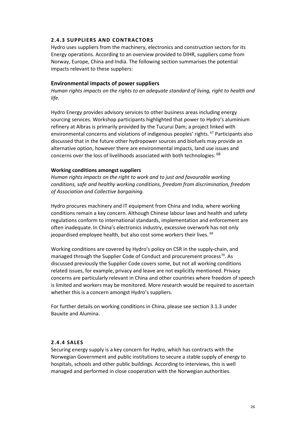#### <span id="page-25-0"></span>**2.4.3 SUPPLIERS AND CONTRACTORS**

Hydro uses suppliers from the machinery, electronics and construction sectors for its Energy operations. According to an overview provided to DIHR, suppliers come from Norway, Europe, China and India. The following section summarises the potential impacts relevant to these suppliers:

#### **Environmental impacts of power suppliers**

*Human rights impacts on the rights to an adequate standard of living, right to health and life.*

Hydro Energy provides advisory services to other business areas including energy sourcing services. Workshop participants highlighted that power to Hydro's aluminium refinery at Albras is primarily provided by the Tucurui Dam; a project linked with environmental concerns and violations of indigenous peoples' rights. <sup>[67](#page-26-17)</sup> Participants also discussed that in the future other hydropower sources and biofuels may provide an alternative option, however there are environmental impacts, land use issues and concerns over the loss of livelihoods associated with both technologies. [68](#page-26-30)

#### **Working conditions amongst suppliers**

*Human rights impacts on the right to work and to just and favourable working conditions, safe and healthy working conditions, freedom from discrimination, freedom of Association and Collective bargaining.*

Hydro procures machinery and IT equipment from China and India, where working conditions remain a key concern. Although Chinese labour laws and health and safety regulations conform to international standards, implementation and enforcement are often inadequate. In China's electronics industry, excessive overwork has not only jeopardised employee health, but also cost some workers their lives. [69](#page-26-31)

Working conditions are covered by Hydro's policy on CSR in the supply-chain, and managed through the Supplier Code of Conduct and procurement process<sup>70</sup>. As discussed previously the Supplier Code covers some, but not all working conditions related issues, for example, privacy and leave are not explicitly mentioned. Privacy concerns are particularly relevant in China and other countries where freedom of speech is limited and workers may be monitored. More research would be required to ascertain whether this is a concern amongst Hydro's suppliers.

For further details on working conditions in China, please see section 3.1.3 under Bauxite and Alumina.

#### <span id="page-25-1"></span>**2.4.4 SALES**

Securing energy supply is a key concern for Hydro, which has contracts with the Norwegian Government and public institutions to secure a stable supply of energy to hospitals, schools and other public buildings. According to interviews, this is well managed and performed in close cooperation with the Norwegian authorities.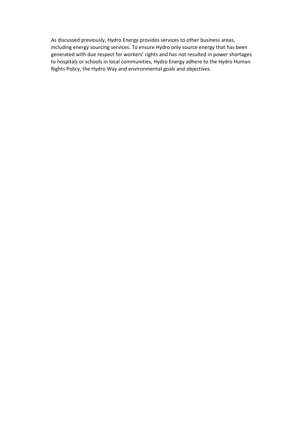<span id="page-26-42"></span><span id="page-26-41"></span><span id="page-26-40"></span><span id="page-26-39"></span><span id="page-26-38"></span><span id="page-26-37"></span><span id="page-26-36"></span><span id="page-26-35"></span><span id="page-26-34"></span><span id="page-26-33"></span><span id="page-26-32"></span><span id="page-26-31"></span><span id="page-26-30"></span><span id="page-26-29"></span><span id="page-26-28"></span><span id="page-26-27"></span><span id="page-26-26"></span><span id="page-26-25"></span><span id="page-26-24"></span><span id="page-26-23"></span><span id="page-26-22"></span><span id="page-26-21"></span><span id="page-26-20"></span><span id="page-26-19"></span><span id="page-26-18"></span><span id="page-26-17"></span><span id="page-26-16"></span><span id="page-26-15"></span><span id="page-26-14"></span><span id="page-26-13"></span><span id="page-26-12"></span><span id="page-26-11"></span><span id="page-26-10"></span><span id="page-26-9"></span><span id="page-26-8"></span><span id="page-26-7"></span><span id="page-26-6"></span><span id="page-26-5"></span><span id="page-26-4"></span><span id="page-26-3"></span><span id="page-26-2"></span><span id="page-26-1"></span><span id="page-26-0"></span>As discussed previously, Hydro Energy provides services to other business areas, including energy sourcing services. To ensure Hydro only source energy that has been generated with due respect for workers' rights and has not resulted in power shortages to hospitals or schools in local communities, Hydro Energy adhere to the Hydro Human Rights Policy, the Hydro Way and environmental goals and objectives.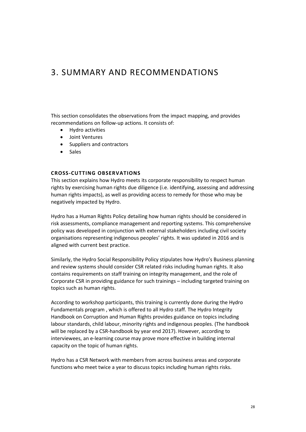### <span id="page-27-0"></span>3. SUMMARY AND RECOMMENDATIONS

This section consolidates the observations from the impact mapping, and provides recommendations on follow-up actions. It consists of:

- Hydro activities
- Joint Ventures
- Suppliers and contractors
- Sales

#### <span id="page-27-1"></span>**CROSS-CUTTING OBSERVATIONS**

This section explains how Hydro meets its corporate responsibility to respect human rights by exercising human rights due diligence (i.e. identifying, assessing and addressing human rights impacts), as well as providing access to remedy for those who may be negatively impacted by Hydro.

Hydro has a Human Rights Policy detailing how human rights should be considered in risk assessments, compliance management and reporting systems. This comprehensive policy was developed in conjunction with external stakeholders including civil society organisations representing indigenous peoples' rights. It was updated in 2016 and is aligned with current best practice.

Similarly, the Hydro Social Responsibility Policy stipulates how Hydro's Business planning and review systems should consider CSR related risks including human rights. It also contains requirements on staff training on integrity management, and the role of Corporate CSR in providing guidance for such trainings – including targeted training on topics such as human rights.

According to workshop participants, this training is currently done during the Hydro Fundamentals program , which is offered to all Hydro staff. The Hydro Integrity Handbook on Corruption and Human Rights provides guidance on topics including labour standards, child labour, minority rights and indigenous peoples. (The handbook will be replaced by a CSR-handbook by year end 2017). However, according to interviewees, an e-learning course may prove more effective in building internal capacity on the topic of human rights.

Hydro has a CSR Network with members from across business areas and corporate functions who meet twice a year to discuss topics including human rights risks.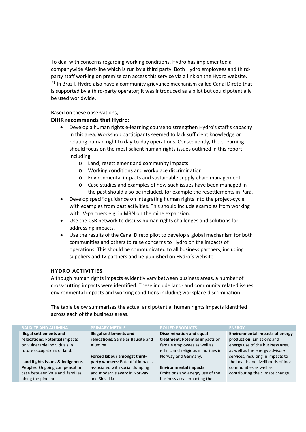To deal with concerns regarding working conditions, Hydro has implemented a companywide Alert-line which is run by a third party. Both Hydro employees and thirdparty staff working on premise can access this service via a link on the Hydro website.  $71$  In Brazil, Hydro also have a community grievance mechanism called Canal Direto that is supported by a third-party operator; it was introduced as a pilot but could potentially be used worldwide.

#### Based on these observations,

#### **DIHR recommends that Hydro:**

- Develop a human rights e-learning course to strengthen Hydro's staff's capacity in this area. Workshop participants seemed to lack sufficient knowledge on relating human right to day-to-day operations. Consequently, the e-learning should focus on the most salient human rights issues outlined in this report including:
	- o Land, resettlement and community impacts
	- o Working conditions and workplace discrimination
	- o Environmental impacts and sustainable supply-chain management,
	- o Case studies and examples of how such issues have been managed in the past should also be included, for example the resettlements in Pará.
- Develop specific guidance on integrating human rights into the project-cycle with examples from past activities. This should include examples from working with JV-partners e.g. in MRN on the mine expansion.
- Use the CSR network to discuss human rights challenges and solutions for addressing impacts.
- Use the results of the Canal Direto pilot to develop a global mechanism for both communities and others to raise concerns to Hydro on the impacts of operations. This should be communicated to all business partners, including suppliers and JV partners and be published on Hydro's website.

#### <span id="page-28-0"></span>**HYDRO ACTIVITIES**

Although human rights impacts evidently vary between business areas, a number of cross-cutting impacts were identified. These include land- and community related issues, environmental impacts and working conditions including workplace discrimination.

The table below summarises the actual and potential human rights impacts identified across each of the business areas.

| <b>BAUXITE AND ALUMINA</b>      | <b>PRIMARY METALS</b>            | <b>ROLLED PRODUCTS</b>             | <b>ENERGY</b>                          |
|---------------------------------|----------------------------------|------------------------------------|----------------------------------------|
| Illegal settlements and         | Illegal settlements and          | <b>Discrimination and equal</b>    | <b>Environmental impacts of energy</b> |
| relocations: Potential impacts  | relocations: Same as Bauxite and | treatment: Potential impacts on    | production: Emissions and              |
| on vulnerable individuals in    | Alumina.                         | female employees as well as        | energy use of the business area,       |
| future occupations of land.     |                                  | ethnic and religious minorities in | as well as the energy advisory         |
|                                 | Forced labour amongst third-     | Norway and Germany.                | services, resulting in impacts to      |
| Land Rights Issues & Indigenous | party workers: Potential impacts |                                    | the health and livelihoods of local    |
| Peoples: Ongoing compensation   | associated with social dumping   | <b>Environmental impacts:</b>      | communities as well as                 |
| case between Vale and families  | and modern slavery in Norway     | Emissions and energy use of the    | contributing the climate change.       |
| along the pipeline.             | and Slovakia.                    | business area impacting the        |                                        |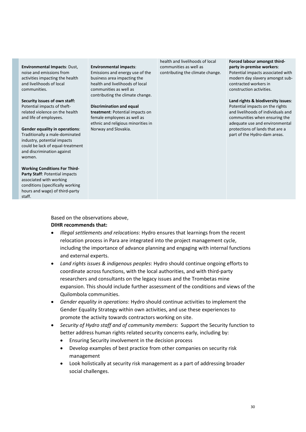**Environmental Impacts**: Dust, noise and emissions from activities impacting the health and livelihoods of local communities.

**Security issues of own staff:**  Potential impacts of theftrelated violence on the health and life of employees.

**Gender equality in operations**: Traditionally a male-dominated industry, potential impacts could be lack of equal-treatment and discrimination against women.

**Working Conditions For Third-Party Staff**: Potential impacts associated with working conditions (specifically working hours and wage) of third-party staff.

#### **Environmental impacts**:

Emissions and energy use of the business area impacting the health and livelihoods of local communities as well as contributing the climate change.

**Discrimination and equal treatment**: Potential impacts on female employees as well as ethnic and religious minorities in Norway and Slovakia.

health and livelihoods of local communities as well as contributing the climate change.

#### **Forced labour amongst thirdparty in-premise workers**: Potential impacts associated with modern day slavery amongst subcontracted workers in

construction activities.

**Land rights & biodiversity issues**: Potential impacts on the rights and livelihoods of individuals and communities when ensuring the adequate use and environmental protections of lands that are a part of the Hydro-dam areas.

Based on the observations above, **DIHR recommends that:** 

- *Illegal settlements and relocations*: Hydro ensures that learnings from the recent relocation process in Para are integrated into the project management cycle, including the importance of advance planning and engaging with internal functions and external experts.
- *Land rights issues & indigenous peoples*: Hydro should continue ongoing efforts to coordinate across functions, with the local authorities, and with third-party researchers and consultants on the legacy issues and the Trombetas mine expansion. This should include further assessment of the conditions and views of the Quilombola communities.
- *Gender equality in operations*: Hydro should continue activities to implement the Gender Equality Strategy within own activities, and use these experiences to promote the activity towards contractors working on site.
- *Security of Hydro staff and of community members*: Support the Security function to better address human rights related security concerns early, including by:
	- Ensuring Security involvement in the decision process
	- Develop examples of best practice from other companies on security risk management
	- Look holistically at security risk management as a part of addressing broader social challenges.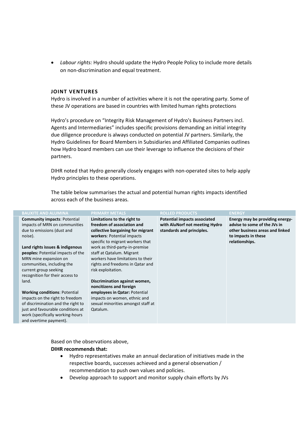• *Labour rights:* Hydro should update the Hydro People Policy to include more details on non-discrimination and equal treatment.

#### <span id="page-30-0"></span>**JOINT VENTURES**

Hydro is involved in a number of activities where it is not the operating party. Some of these JV operations are based in countries with limited human rights protections

Hydro's procedure on "Integrity Risk Management of Hydro's Business Partners incl. Agents and Intermediaries" includes specific provisions demanding an initial integrity due diligence procedure is always conducted on potential JV partners. Similarly, the Hydro Guidelines for Board Members in Subsidiaries and Affiliated Companies outlines how Hydro board members can use their leverage to influence the decisions of their partners.

DIHR noted that Hydro generally closely engages with non-operated sites to help apply Hydro principles to these operations.

The table below summarises the actual and potential human rights impacts identified across each of the business areas.

| <b>BAUXITE AND ALUMINA</b>                                                                                    | <b>PRIMARY METALS</b>                                                                                                                                            | <b>ROLLED PRODUCTS</b>                                                                             | <b>ENERGY</b>                                                                                                                               |
|---------------------------------------------------------------------------------------------------------------|------------------------------------------------------------------------------------------------------------------------------------------------------------------|----------------------------------------------------------------------------------------------------|---------------------------------------------------------------------------------------------------------------------------------------------|
| <b>Community impacts: Potential</b><br>impacts of MRN on communities<br>due to emissions (dust and<br>noise). | Limitations to the right to<br>freedom of association and<br>collective bargaining for migrant<br>workers: Potential impacts<br>specific to migrant workers that | <b>Potential impacts associated</b><br>with AluNorf not meeting Hydro<br>standards and principles. | Energy may be providing energy-<br>advise to some of the JVs in<br>other business areas and linked<br>to impacts in these<br>relationships. |
| Land rights issues & indigenous                                                                               | work as third-party-in-premise                                                                                                                                   |                                                                                                    |                                                                                                                                             |
| <b>peoples:</b> Potential impacts of the                                                                      | staff at Qatalum. Migrant                                                                                                                                        |                                                                                                    |                                                                                                                                             |
| MRN mine expansion on                                                                                         | workers have limitations to their                                                                                                                                |                                                                                                    |                                                                                                                                             |
| communities, including the                                                                                    | rights and freedoms in Qatar and                                                                                                                                 |                                                                                                    |                                                                                                                                             |
| current group seeking                                                                                         | risk exploitation.                                                                                                                                               |                                                                                                    |                                                                                                                                             |
| recognition for their access to                                                                               |                                                                                                                                                                  |                                                                                                    |                                                                                                                                             |
| land.                                                                                                         | Discrimination against women,                                                                                                                                    |                                                                                                    |                                                                                                                                             |
|                                                                                                               | noncitizens and foreign                                                                                                                                          |                                                                                                    |                                                                                                                                             |
| <b>Working conditions: Potential</b>                                                                          | employees in Qatar: Potential                                                                                                                                    |                                                                                                    |                                                                                                                                             |
| impacts on the right to freedom                                                                               | impacts on women, ethnic and                                                                                                                                     |                                                                                                    |                                                                                                                                             |
| of discrimination and the right to                                                                            | sexual minorities amongst staff at                                                                                                                               |                                                                                                    |                                                                                                                                             |
| just and favourable conditions at                                                                             | Qatalum.                                                                                                                                                         |                                                                                                    |                                                                                                                                             |
| work (specifically working-hours                                                                              |                                                                                                                                                                  |                                                                                                    |                                                                                                                                             |
| and overtime payment).                                                                                        |                                                                                                                                                                  |                                                                                                    |                                                                                                                                             |

Based on the observations above,

#### **DIHR recommends that:**

- Hydro representatives make an annual declaration of initiatives made in the respective boards, successes achieved and a general observation / recommendation to push own values and policies.
- Develop approach to support and monitor supply chain efforts by JVs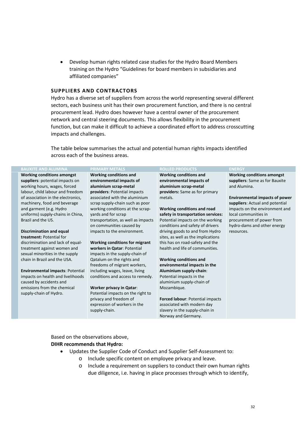• Develop human rights related case studies for the Hydro Board Members training on the Hydro "Guidelines for board members in subsidiaries and affiliated companies"

#### <span id="page-31-0"></span>**SUPPLIERS AND CONTRACTORS**

Hydro has a diverse set of suppliers from across the world representing several different sectors, each business unit has their own procurement function, and there is no central procurement lead. Hydro does however have a central owner of the procurement network and central steering documents. This allows flexibility in the procurement function, but can make it difficult to achieve a coordinated effort to address crosscutting impacts and challenges.

The table below summarises the actual and potential human rights impacts identified across each of the business areas.

#### **BAUXITE AND ALUMINA PRIMARY METALS ROLLED PRODUCTS ENERGY**

**Working conditions amongst suppliers**: potential impacts on working hours, wages, forced labour, child labour and freedom of association in the electronics, machinery, food and beverage and garment (e.g. Hydro uniforms) supply-chains in China, Brazil and the US.

#### **Discrimination and equal**

**treatment:** Potential for discrimination and lack of equaltreatment against women and sexual minorities in the supply chain in Brazil and the USA.

**Environmental impacts**: Potential impacts on health and livelihoods caused by accidents and emissions from the chemical supply-chain of Hydro.

#### **Working conditions and**

**environmental impacts of aluminium scrap-metal providers**: Potential impacts associated with the aluminium scrap supply-chain such as poor working conditions at the scrapyards and for scrap transportation, as well as impacts on communities caused by impacts to the environment.

#### **Working conditions for migrant workers in Qatar**: Potential impacts in the supply-chain of Qatalum on the rights and freedoms of migrant workers, including wages, leave, living conditions and access to remedy.

**Worker privacy in Qatar**: Potential impacts on the right to privacy and freedom of expression of workers in the supply-chain.

**Working conditions and environmental impacts of aluminium scrap-metal providers:** Same as for primary metals.

**Working conditions and road safety in transportation services:**  Potential impacts on the working conditions and safety of drivers driving goods to and from Hydro sites, as well as the implications this has on road-safety and the health and life of communities.

**Working conditions and environmental impacts in the Aluminium supply-chain**: Potential impacts in the aluminium supply-chain of Mozambique.

**Forced labour**: Potential impacts associated with modern day slavery in the supply-chain in Norway and Germany.

**Working conditions amongst suppliers**: Same as for Bauxite and Alumina.

**Environmental impacts of power suppliers**: Actual and potential impacts on the environment and local communities in procurement of power from hydro-dams and other energy resources.

Based on the observations above, **DIHR recommends that Hydro:** 

- Updates the Supplier Code of Conduct and Supplier Self-Assessment to:
	- o Include specific content on employee privacy and leave.
	- o Include a requirement on suppliers to conduct their own human rights due diligence, i.e. having in place processes through which to identify,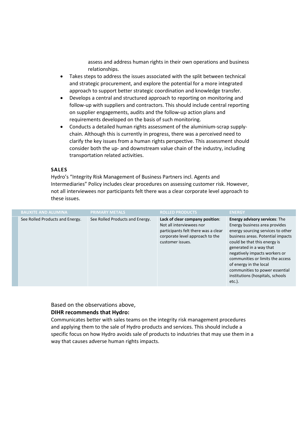assess and address human rights in their own operations and business relationships.

- Takes steps to address the issues associated with the split between technical and strategic procurement, and explore the potential for a more integrated approach to support better strategic coordination and knowledge transfer.
- Develops a central and structured approach to reporting on monitoring and follow-up with suppliers and contractors. This should include central reporting on supplier engagements, audits and the follow-up action plans and requirements developed on the basis of such monitoring.
- Conducts a detailed human rights assessment of the aluminium-scrap supplychain. Although this is currently in progress, there was a perceived need to clarify the key issues from a human rights perspective. This assessment should consider both the up- and downstream value chain of the industry, including transportation related activities.

#### <span id="page-32-0"></span>**SALES**

Hydro's "Integrity Risk Management of Business Partners incl. Agents and Intermediaries" Policy includes clear procedures on assessing customer risk. However, not all interviewees nor participants felt there was a clear corporate level approach to these issues.

| <b>BAUXITE AND ALUMINA</b>      | <b>PRIMARY METALS</b>           | <b>ROLLED PRODUCTS</b>                                                                                                                                    | <b>ENERGY</b>                                                                                                                                                                                                                                                                                                                                                                             |
|---------------------------------|---------------------------------|-----------------------------------------------------------------------------------------------------------------------------------------------------------|-------------------------------------------------------------------------------------------------------------------------------------------------------------------------------------------------------------------------------------------------------------------------------------------------------------------------------------------------------------------------------------------|
| See Rolled Products and Energy. | See Rolled Products and Energy. | Lack of clear company position:<br>Not all interviewees nor<br>participants felt there was a clear<br>corporate level approach to the<br>customer issues. | <b>Energy advisory services:</b> The<br>Energy business area provides<br>energy sourcing services to other<br>business areas. Potential impacts<br>could be that this energy is<br>generated in a way that<br>negatively impacts workers or<br>communities or limits the access<br>of energy in the local<br>communities to power essential<br>institutions (hospitals, schools<br>etc.). |

Based on the observations above,

#### **DIHR recommends that Hydro:**

Communicates better with sales teams on the integrity risk management procedures and applying them to the sale of Hydro products and services. This should include a specific focus on how Hydro avoids sale of products to industries that may use them in a way that causes adverse human rights impacts.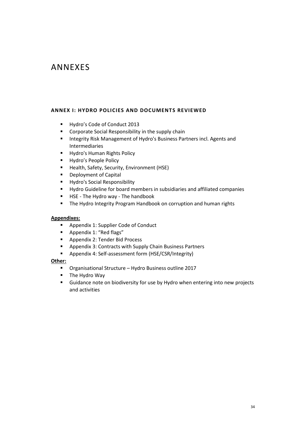## <span id="page-33-0"></span>ANNEXES

#### <span id="page-33-1"></span>**ANNEX I: HYDRO POLICIES AND DOCUMENTS REVIEWED**

- Hydro's Code of Conduct 2013
- **Corporate Social Responsibility in the supply chain**
- **Integrity Risk Management of Hydro's Business Partners incl. Agents and** Intermediaries
- **Hydro's Human Rights Policy**
- **Hydro's People Policy**
- **Health, Safety, Security, Environment (HSE)**
- **•** Deployment of Capital
- **Hydro's Social Responsibility**
- Hydro Guideline for board members in subsidiaries and affiliated companies
- **HSE The Hydro way The handbook**
- **The Hydro Integrity Program Handbook on corruption and human rights**

#### **Appendixes:**

- **Appendix 1: Supplier Code of Conduct**
- **Appendix 1: "Red flags"**
- **Appendix 2: Tender Bid Process**
- Appendix 3: Contracts with Supply Chain Business Partners
- Appendix 4: Self-assessment form (HSE/CSR/Integrity)

#### **Other:**

- Organisational Structure Hydro Business outline 2017
- **The Hydro Way**
- <span id="page-33-2"></span> Guidance note on biodiversity for use by Hydro when entering into new projects and activities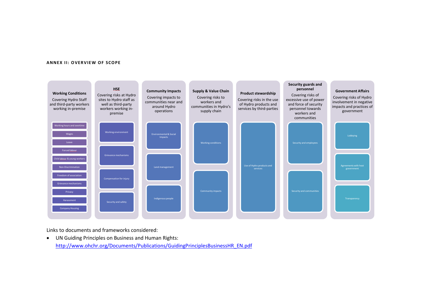#### **ANNEX II: OVERVIEW OF SCOPE**



<span id="page-34-0"></span>Links to documents and frameworks considered:

• UN Guiding Principles on Business and Human Rights: [http://www.ohchr.org/Documents/Publications/GuidingPrinciplesBusinessHR\\_EN.pdf](http://www.ohchr.org/Documents/Publications/GuidingPrinciplesBusinessHR_EN.pdf)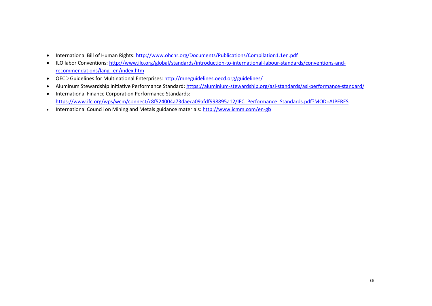- International Bill of Human Rights[: http://www.ohchr.org/Documents/Publications/Compilation1.1en.pdf](http://www.ohchr.org/Documents/Publications/Compilation1.1en.pdf)
- ILO labor Conventions[: http://www.ilo.org/global/standards/introduction-to-international-labour-standards/conventions-and](http://www.ilo.org/global/standards/introduction-to-international-labour-standards/conventions-and-recommendations/lang--en/index.htm)[recommendations/lang--en/index.htm](http://www.ilo.org/global/standards/introduction-to-international-labour-standards/conventions-and-recommendations/lang--en/index.htm)
- OECD Guidelines for Multinational Enterprises:<http://mneguidelines.oecd.org/guidelines/>
- Aluminum Stewardship Initiative Performance Standard:<https://aluminium-stewardship.org/asi-standards/asi-performance-standard/>
- International Finance Corporation Performance Standards: [https://www.ifc.org/wps/wcm/connect/c8f524004a73daeca09afdf998895a12/IFC\\_Performance\\_Standards.pdf?MOD=AJPERES](https://www.ifc.org/wps/wcm/connect/c8f524004a73daeca09afdf998895a12/IFC_Performance_Standards.pdf?MOD=AJPERES)
- International Council on Mining and Metals guidance materials:<http://www.icmm.com/en-gb>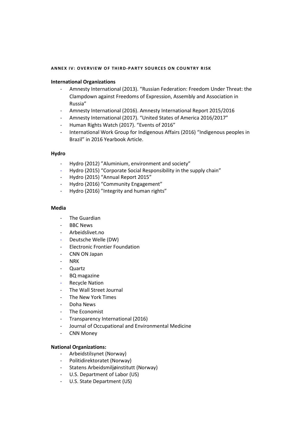#### <span id="page-36-0"></span>**ANNEX IV: OVERVIEW OF THIRD-PARTY SOURCES ON COUNTRY RISK**

#### **International Organizations**

- Amnesty International (2013). "Russian Federation: Freedom Under Threat: the Clampdown against Freedoms of Expression, Assembly and Association in Russia"
- Amnesty International (2016). Amnesty International Report 2015/2016
- Amnesty International (2017). "United States of America 2016/2017"
- Human Rights Watch (2017). "Events of 2016"
- International Work Group for Indigenous Affairs (2016) "Indigenous peoples in Brazil" in 2016 Yearbook Article.

#### **Hydro**

- Hydro (2012) "Aluminium, environment and society"
- Hydro (2015) "Corporate Social Responsibility in the supply chain"
- Hydro (2015) "Annual Report 2015"
- Hydro (2016) "Community Engagement"
- Hydro (2016) "Integrity and human rights"

#### **Media**

- The Guardian
- **BBC News**
- Arbeidslivet.no
- Deutsche Welle (DW)
- Electronic Frontier Foundation
- CNN ON Japan
- NR<sub>K</sub>
- Quartz
- BQ magazine
- **Recycle Nation**
- The Wall Street Journal
- The New York Times
- Doha News
- The Economist
- Transparency International (2016)
- Journal of Occupational and Environmental Medicine
- **CNN Money**

#### **National Organizations:**

- Arbeidstilsynet (Norway)
- Politidirektoratet (Norway)
- Statens Arbeidsmiljøinstitutt (Norway)
- U.S. Department of Labor (US)
- U.S. State Department (US)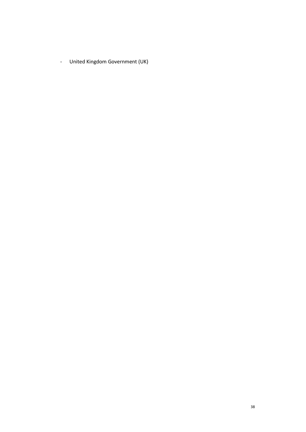- United Kingdom Government (UK)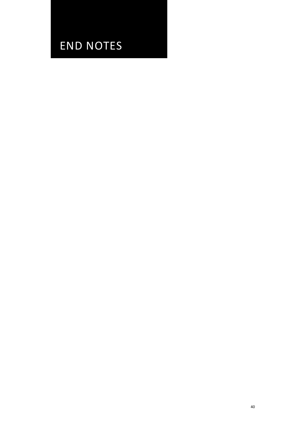## END NOTES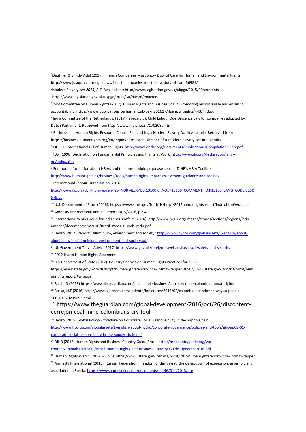1Dauthier & Smith-Vidal (2017). French Companies Must Show Duty of Care for Human and Environmental Rights. http://www.jdsupra.com/legalnews/french-companies-must-show-duty-of-care-56981/

2 Modern Slavery *Act 2015, P.6*. Available at: http://www.legislation.gov.uk/ukpga/2015/30/contents http://www.legislation.gov.uk/ukpga/2015/30/part/6/enacted

3Joint Committee on Human Rights (2017). Human Rights and Business 2017: Promoting responsibility and ensuring accountability. https://www.publications.parliament.uk/pa/jt201617/jtselect/jtrights/443/443.pdf

<sup>4</sup> India Committee of the Netherlands. (2017, February 8). Child Labour Due Diligence Law for companies adopted by Dutch Parliament. Retrieved from http://www.indianet.nl/170208e.html

<sup>5</sup> Business and Human Rights Resource Centre. Establishing a Modern Slavery Act in Australia. Retrieved from https://business-humanrights.org/en/inquiry-into-establishment-of-a-modern-slavery-act-in-australia

<sup>6</sup> OHCHR.International Bill of Human Rights[. http://www.ohchr.org/Documents/Publications/Compilation1.1en.pdf](http://www.ohchr.org/Documents/Publications/Compilation1.1en.pdf)

<sup>7</sup> ILO. (1998) Decleration on Fundamental Principles and Rights at Work[. http://www.ilo.org/declaration/lang-](http://www.ilo.org/declaration/lang--en/index.htm) [en/index.htm](http://www.ilo.org/declaration/lang--en/index.htm)

<sup>8</sup> For more information about HRIAs and their methodology, please consult DIHR's HRIA Toolbox:

<http://www.humanrights.dk/business/tools/human-rights-impact-assessment-guidance-and-toolbox>

<sup>9</sup> International Labour Organization. 2016.

[http://www.ilo.org/dyn/normlex/en/f?p=NORMLEXPUB:13100:0::NO::P13100\\_COMMENT\\_ID,P13100\\_LANG\\_CODE:3250](http://www.ilo.org/dyn/normlex/en/f?p=NORMLEXPUB:13100:0::NO::P13100_COMMENT_ID,P13100_LANG_CODE:3250579,es) [579,es](http://www.ilo.org/dyn/normlex/en/f?p=NORMLEXPUB:13100:0::NO::P13100_COMMENT_ID,P13100_LANG_CODE:3250579,es)

<sup>10</sup> U.S. Department of State (2016). https://www.state.gov/j/drl/rls/hrrpt/2015humanrightsreport/index.htm#wrapper

<sup>11</sup> Amnesty International Annual Report 2015/2016, p. 94

<sup>12</sup> International Work Group for Indigenous Affairs (2016). http://www.iwgia.org/images/stories/sections/regions/latinamerica/documents/IW2016/Brazil\_IW2016\_web\_redu.pdf

<sup>13</sup> Hydro (2012), report: "Aluminium, environment and society" [http://www.hydro.com/globalassets/1-english/about](http://www.hydro.com/globalassets/1-english/about-aluminium/files/aluminium_environment-and-society.pdf)[aluminium/files/aluminium\\_environment-and-society.pdf](http://www.hydro.com/globalassets/1-english/about-aluminium/files/aluminium_environment-and-society.pdf)

<sup>14</sup> UK Government Travel Advice 2017[. https://www.gov.uk/foreign-travel-advice/brazil/safety-and-security](https://www.gov.uk/foreign-travel-advice/brazil/safety-and-security)

<sup>15</sup> 2012 Hydro Human Rights Assement

<sup>16</sup> U.S Department of State (2017). Country Reports on Human Rights Practices for 2016.

https://www.state.gov/j/drl/rls/hrrpt/humanrightsreport/index.htm#wrapperhttps://www.state.gov/j/drl/rls/hrrpt/hum anrightsreport/#wrapper

<sup>17</sup> Balch, O (2013) https://www.theguardian.com/sustainable-business/cerrejon-mine-colombia-human-rights

<sup>18</sup> Rosso, N.F (2016) http://www.aljazeera.com/indepth/inpictures/2016/02/colombia-abandoned-wayuu-people-160201070235052.html

<sup>19</sup> https://www.theguardian.com/global-development/2016/oct/26/discontentcerrejon-coal-mine-colombians-cry-foul

<sup>20</sup> Hydro (2015) Global Policy/Procedure on Corporate Social Responsibility in the Supply Chain.

[http://www.hydro.com/globalassets/1-english/about-hydro/corporate-governance/policies-and-tools/nhc-gp09-01](http://www.hydro.com/globalassets/1-english/about-hydro/corporate-governance/policies-and-tools/nhc-gp09-01-corporate-social-responsibility-in-the-supply-chain.pdf) [corporate-social-responsibility-in-the-supply-chain.pdf](http://www.hydro.com/globalassets/1-english/about-hydro/corporate-governance/policies-and-tools/nhc-gp09-01-corporate-social-responsibility-in-the-supply-chain.pdf)

<sup>21</sup> DIHR (2016) Human Rights and Business Country Guide Brazil[. http://hrbcountryguide.org/wp-](http://hrbcountryguide.org/wp-content/uploads/2013/10/Brazil-Human-Rights-and-Business-Country-Guide-Updated-2016.pdf)

[content/uploads/2013/10/Brazil-Human-Rights-and-Business-Country-Guide-Updated-2016.pdf](http://hrbcountryguide.org/wp-content/uploads/2013/10/Brazil-Human-Rights-and-Business-Country-Guide-Updated-2016.pdf)

<sup>22</sup> Human Rights Watch (2017) – China https://www.state.gov/j/drl/rls/hrrpt/2015humanrightsreport/index.htm#wrapper

<sup>23</sup> Amnesty International (2013). Russian Federation: Freedom under threat: the clampdown of expression, assembly and association in Russia[. https://www.amnesty.org/en/documents/eur46/011/2013/en/](https://www.amnesty.org/en/documents/eur46/011/2013/en/)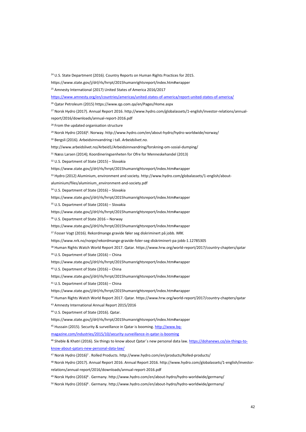<sup>24</sup> U.S. State Department (2016). Country Reports on Human Rights Practices for 2015.

https://www.state.gov/j/drl/rls/hrrpt/2015humanrightsreport/index.htm#wrapper

<sup>25</sup> Amnesty International (2017) United States of America 2016/2017

<https://www.amnesty.org/en/countries/americas/united-states-of-america/report-united-states-of-america/>

<sup>26</sup> Qatar Petroleum (2015) https://www.qp.com.qa/en/Pages/Home.aspx

<sup>27</sup> Norsk Hydro (2017). Annual Report 2016. http://www.hydro.com/globalassets/1-english/investor-relations/annual-

report/2016/downloads/annual-report-2016.pdf

<sup>28</sup> From the updated organisation structure

<sup>29</sup> Norsk Hydro (2016)<sup>6</sup>. Norway. http://www.hydro.com/en/about-hydro/hydro-worldwide/norway/

<sup>30</sup> Bergsli (2016). Arbeidsinnvandring i tall. *Arbeidslivet.no.*

http://www.arbeidslivet.no/Arbeid1/Arbeidsinnvandring/forskning-om-sosial-dumping/

<sup>31</sup> Næss Larsen (2014); Koordineringsenheten for Ofre for Menneskehandel (2013)

<sup>32</sup> U.S. Department of State (2015) – Slovakia

https://www.state.gov/j/drl/rls/hrrpt/2015humanrightsreport/index.htm#wrapper

<sup>33</sup> Hydro (2012) Aluminium, environment and society. http://www.hydro.com/globalassets/1-english/about-

aluminium/files/aluminium\_environment-and-society.pdf

<sup>34</sup> U.S. Department of State (2016) – Slovakia

https://www.state.gov/j/drl/rls/hrrpt/2015humanrightsreport/index.htm#wrapper

<sup>35</sup> U.S. Department of State (2016) – Slovakia

https://www.state.gov/j/drl/rls/hrrpt/2015humanrightsreport/index.htm#wrapper

<sup>36</sup> U.S. Department of State 2016 – Norway

https://www.state.gov/j/drl/rls/hrrpt/2015humanrightsreport/index.htm#wrapper

<sup>37</sup> Fosser Vogt (2016). Rekordmange gravide føler seg diskriminert på jobb. *NRK.*

https://www.nrk.no/norge/rekordmange-gravide-foler-seg-diskriminert-pa-jobb-1.12785305

<sup>38</sup> Human Rights Watch World Report 2017. Qatar. https://www.hrw.org/world-report/2017/country-chapters/qatar

<sup>39</sup> U.S. Department of State (2016) – China

https://www.state.gov/j/drl/rls/hrrpt/2015humanrightsreport/index.htm#wrapper

<sup>40</sup> U.S. Department of State (2016) – China

https://www.state.gov/j/drl/rls/hrrpt/2015humanrightsreport/index.htm#wrapper

<sup>41</sup> U.S. Department of State (2016) – China

https://www.state.gov/j/drl/rls/hrrpt/2015humanrightsreport/index.htm#wrapper

<sup>42</sup> Human Rights Watch World Report 2017. Qatar. https://www.hrw.org/world-report/2017/country-chapters/qatar

<sup>43</sup> Amnesty International Annual Report 2015/2016

<sup>44</sup> U.S. Department of State (2016). Qatar.

https://www.state.gov/j/drl/rls/hrrpt/2015humanrightsreport/index.htm#wrapper

45 Hussain (2015). Security & surveillance in Qatar is booming[. http://www.bq-](http://www.bq-magazine.com/industries/2015/10/security-surveillance-in-qatar-is-booming)

[magazine.com/industries/2015/10/security-surveillance-in-qatar-is-booming](http://www.bq-magazine.com/industries/2015/10/security-surveillance-in-qatar-is-booming)

<sup>46</sup> Sheble & Khatri (2016). Six things to know about Qatar´s new personal data law[. https://dohanews.co/six-things-to](https://dohanews.co/six-things-to-know-about-qatars-new-personal-data-law/)[know-about-qatars-new-personal-data-law/](https://dohanews.co/six-things-to-know-about-qatars-new-personal-data-law/)

47 Norsk Hydro (2016)<sup>7</sup> . Rolled Products. http://www.hydro.com/en/products/Rolled-products/

<sup>48</sup> Norsk Hydro (2017). Annual Report 2016. Annual Report 2016. http://www.hydro.com/globalassets/1-english/investor-

relations/annual-report/2016/downloads/annual-report-2016.pdf

<sup>49</sup> Norsk Hydro (2016)8 . Germany. http://www.hydro.com/en/about-hydro/hydro-worldwide/germany/

<sup>50</sup> Norsk Hydro (2016)<sup>8</sup> . Germany. http://www.hydro.com/en/about-hydro/hydro-worldwide/germany/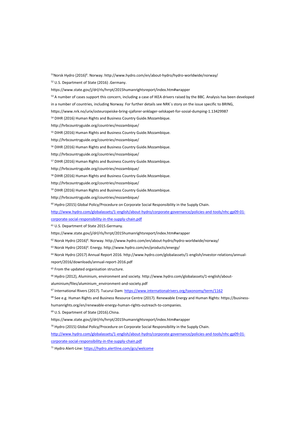<sup>51</sup>Norsk Hydro (2016)<sup>6</sup>. Norway. http://www.hydro.com/en/about-hydro/hydro-worldwide/norway/

<sup>52</sup> U.S. Department of State (2016) .Germany.

https://www.state.gov/j/drl/rls/hrrpt/2015humanrightsreport/index.htm#wrapper

<sup>53</sup> A number of cases support this concern, including a case of IKEA drivers raised by the BBC. Analysis has been developed

in a number of countries, including Norway. For further details see NRK´s story on the issue specific to BRING,

https://www.nrk.no/urix/osteuropeiske-bring-sjaforer-anklager-selskapet-for-sosial-dumping-1.13429987

<sup>54</sup> DIHR (2016) Human Rights and Business Country Guide.Mozambique.

http://hrbcountryguide.org/countries/mozambique/

<sup>55</sup> DIHR (2016) Human Rights and Business Country Guide.Mozambique.

http://hrbcountryguide.org/countries/mozambique/

<sup>56</sup> DIHR (2016) Human Rights and Business Country Guide.Mozambique.

http://hrbcountryguide.org/countries/mozambique/

<sup>57</sup> DIHR (2016) Human Rights and Business Country Guide.Mozambique.

http://hrbcountryguide.org/countries/mozambique/

<sup>58</sup> DIHR (2016) Human Rights and Business Country Guide.Mozambique.

http://hrbcountryguide.org/countries/mozambique/

<sup>59</sup> DIHR (2016) Human Rights and Business Country Guide.Mozambique.

http://hrbcountryguide.org/countries/mozambique/

<sup>60</sup> Hydro (2015) Global Policy/Procedure on Corporate Social Responsibility in the Supply Chain.

[http://www.hydro.com/globalassets/1-english/about-hydro/corporate-governance/policies-and-tools/nhc-gp09-01-](http://www.hydro.com/globalassets/1-english/about-hydro/corporate-governance/policies-and-tools/nhc-gp09-01-corporate-social-responsibility-in-the-supply-chain.pdf)

[corporate-social-responsibility-in-the-supply-chain.pdf](http://www.hydro.com/globalassets/1-english/about-hydro/corporate-governance/policies-and-tools/nhc-gp09-01-corporate-social-responsibility-in-the-supply-chain.pdf)

<sup>61</sup> U.S. Department of State 2015.Germany.

https://www.state.gov/j/drl/rls/hrrpt/2015humanrightsreport/index.htm#wrapper

 $62$  Norsk Hydro (2016)<sup>6</sup>. Norway. http://www.hydro.com/en/about-hydro/hydro-worldwide/norway/

<sup>63</sup> Norsk Hydro (2016)<sup>9</sup>. Energy. http://www.hydro.com/en/products/energy/

<sup>64</sup> Norsk Hydro (2017) Annual Report 2016. http://www.hydro.com/globalassets/1-english/investor-relations/annual-

report/2016/downloads/annual-report-2016.pdf

<sup>65</sup> From the updated organisation structure.

<sup>66</sup> Hydro (2012), Aluminium, environment and society. http://www.hydro.com/globalassets/1-english/about-

aluminium/files/aluminium\_environment-and-society.pdf

<sup>67</sup> International Rivers (2017). Tucurui Dam[: https://www.internationalrivers.org/taxonomy/term/1162](https://www.internationalrivers.org/taxonomy/term/1162)

<sup>68</sup> See e.g. Human Rights and Business Resource Centre (2017). Renewable Energy and Human Rights: https://business-

humanrights.org/en/renewable-energy-human-rights-outreach-to-companies.

<sup>69</sup> U.S. Department of State (2016).China.

https://www.state.gov/j/drl/rls/hrrpt/2015humanrightsreport/index.htm#wrapper

70 Hydro (2015) Global Policy/Procedure on Corporate Social Responsibility in the Supply Chain.

[http://www.hydro.com/globalassets/1-english/about-hydro/corporate-governance/policies-and-tools/nhc-gp09-01-](http://www.hydro.com/globalassets/1-english/about-hydro/corporate-governance/policies-and-tools/nhc-gp09-01-corporate-social-responsibility-in-the-supply-chain.pdf)

[corporate-social-responsibility-in-the-supply-chain.pdf](http://www.hydro.com/globalassets/1-english/about-hydro/corporate-governance/policies-and-tools/nhc-gp09-01-corporate-social-responsibility-in-the-supply-chain.pdf)

<sup>71</sup> Hydro Alert-Line[: https://hydro.alertline.com/gcs/welcome](https://hydro.alertline.com/gcs/welcome)